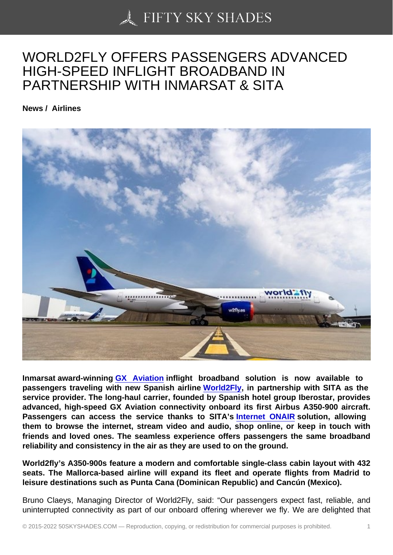## [WORLD2FLY OFFERS](https://50skyshades.com) PASSENGERS ADVANCED HIGH-SPEED INFLIGHT BROADBAND IN PARTNERSHIP WITH INMARSAT & SITA

News / Airlines

Inmarsat award-winning GX Aviation inflight broadband solution is now available to passengers traveling with new Spanish airline World2Fly , in partnership with SITA as the service provider. The long-haul carrier, founded by Spanish hotel group Iberostar, provides advanced, high-speed G[X Aviation con](https://www.inmarsat.com/en/solutions-services/aviation/services/gx-aviation.html)nectivity onboard its first Airbus A350-900 aircraft. Passengers can access the service thanks to S[ITA's In](https://www.w2fly.es/)ternet ONAIR solution, allowing them to browse the internet, stream video and audio, shop online, or keep in touch with friends and loved ones. The seamless experience offers passengers the same broadband reliability and consistency in the air as they are used to on th[e ground.](https://www.sita.aero/solutions/sita-for-aircraft/cabin-connectivity-services/internet-onair/)

World2fly's A350-900s feature a modern and comfortable single-class cabin layout with 432 seats. The Mallorca-based airline will expand its fleet and operate flights from Madrid to leisure destinations such as Punta Cana (Dominican Republic) and Cancún (Mexico).

Bruno Claeys, Managing Director of World2Fly, said: "Our passengers expect fast, reliable, and uninterrupted connectivity as part of our onboard offering wherever we fly. We are delighted that